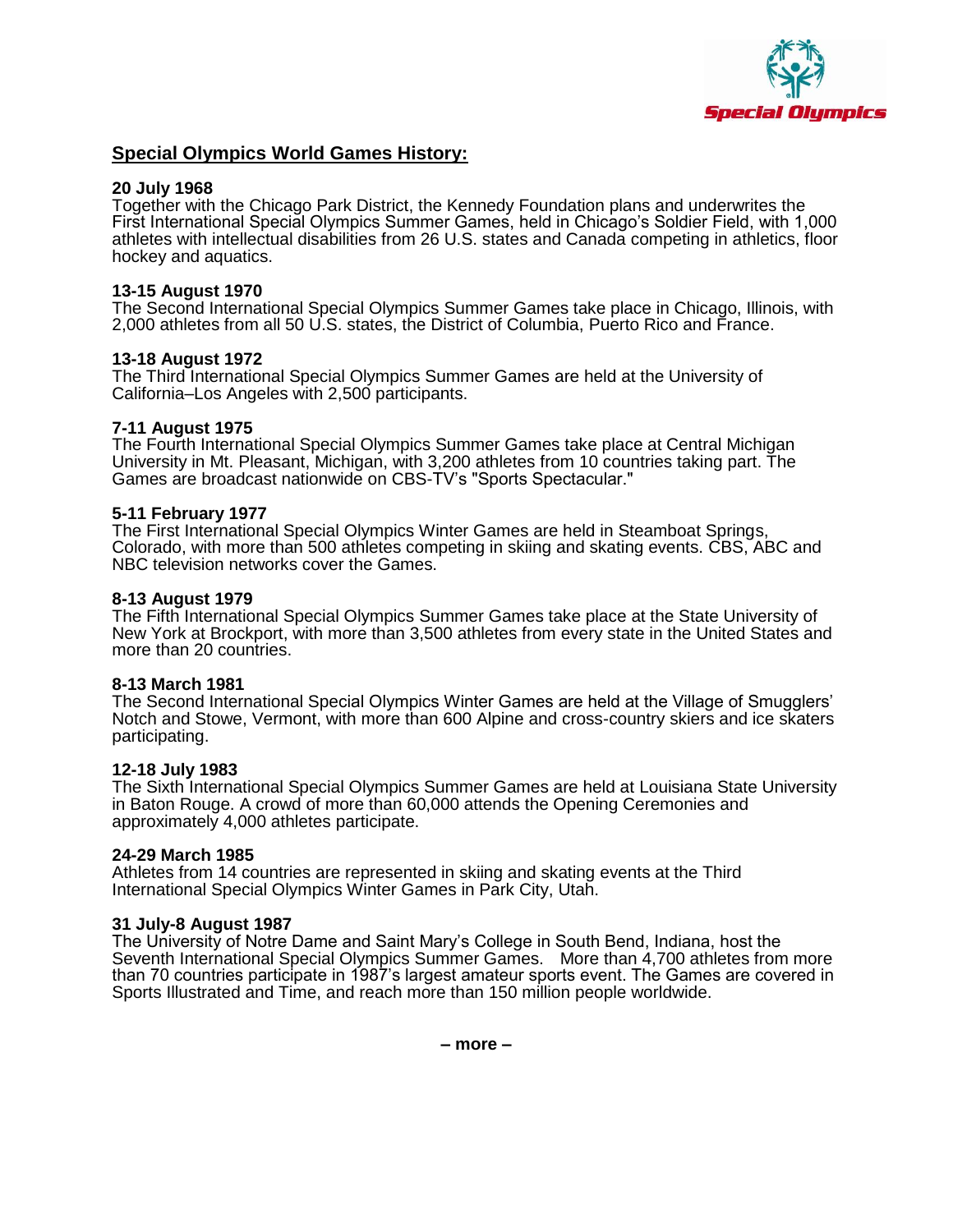

# **Special Olympics World Games History:**

## **20 July 1968**

Together with the Chicago Park District, the Kennedy Foundation plans and underwrites the First International Special Olympics Summer Games, held in Chicago's Soldier Field, with 1,000 athletes with intellectual disabilities from 26 U.S. states and Canada competing in athletics, floor hockey and aquatics.

## **13-15 August 1970**

The Second International Special Olympics Summer Games take place in Chicago, Illinois, with 2,000 athletes from all 50 U.S. states, the District of Columbia, Puerto Rico and France.

#### **13-18 August 1972**

The Third International Special Olympics Summer Games are held at the University of California–Los Angeles with 2,500 participants.

#### **7-11 August 1975**

The Fourth International Special Olympics Summer Games take place at Central Michigan University in Mt. Pleasant, Michigan, with 3,200 athletes from 10 countries taking part. The Games are broadcast nationwide on CBS-TV's "Sports Spectacular."

#### **5-11 February 1977**

The First International Special Olympics Winter Games are held in Steamboat Springs, Colorado, with more than 500 athletes competing in skiing and skating events. CBS, ABC and NBC television networks cover the Games.

#### **8-13 August 1979**

The Fifth International Special Olympics Summer Games take place at the State University of New York at Brockport, with more than 3,500 athletes from every state in the United States and more than 20 countries.

#### **8-13 March 1981**

The Second International Special Olympics Winter Games are held at the Village of Smugglers' Notch and Stowe, Vermont, with more than 600 Alpine and cross-country skiers and ice skaters participating.

#### **12-18 July 1983**

The Sixth International Special Olympics Summer Games are held at Louisiana State University in Baton Rouge. A crowd of more than 60,000 attends the Opening Ceremonies and approximately 4,000 athletes participate.

## **24-29 March 1985**

Athletes from 14 countries are represented in skiing and skating events at the Third International Special Olympics Winter Games in Park City, Utah.

#### **31 July-8 August 1987**

The University of Notre Dame and Saint Mary's College in South Bend, Indiana, host the Seventh International Special Olympics Summer Games. More than 4,700 athletes from more than 70 countries participate in 1987's largest amateur sports event. The Games are covered in Sports Illustrated and Time, and reach more than 150 million people worldwide.

**– more –**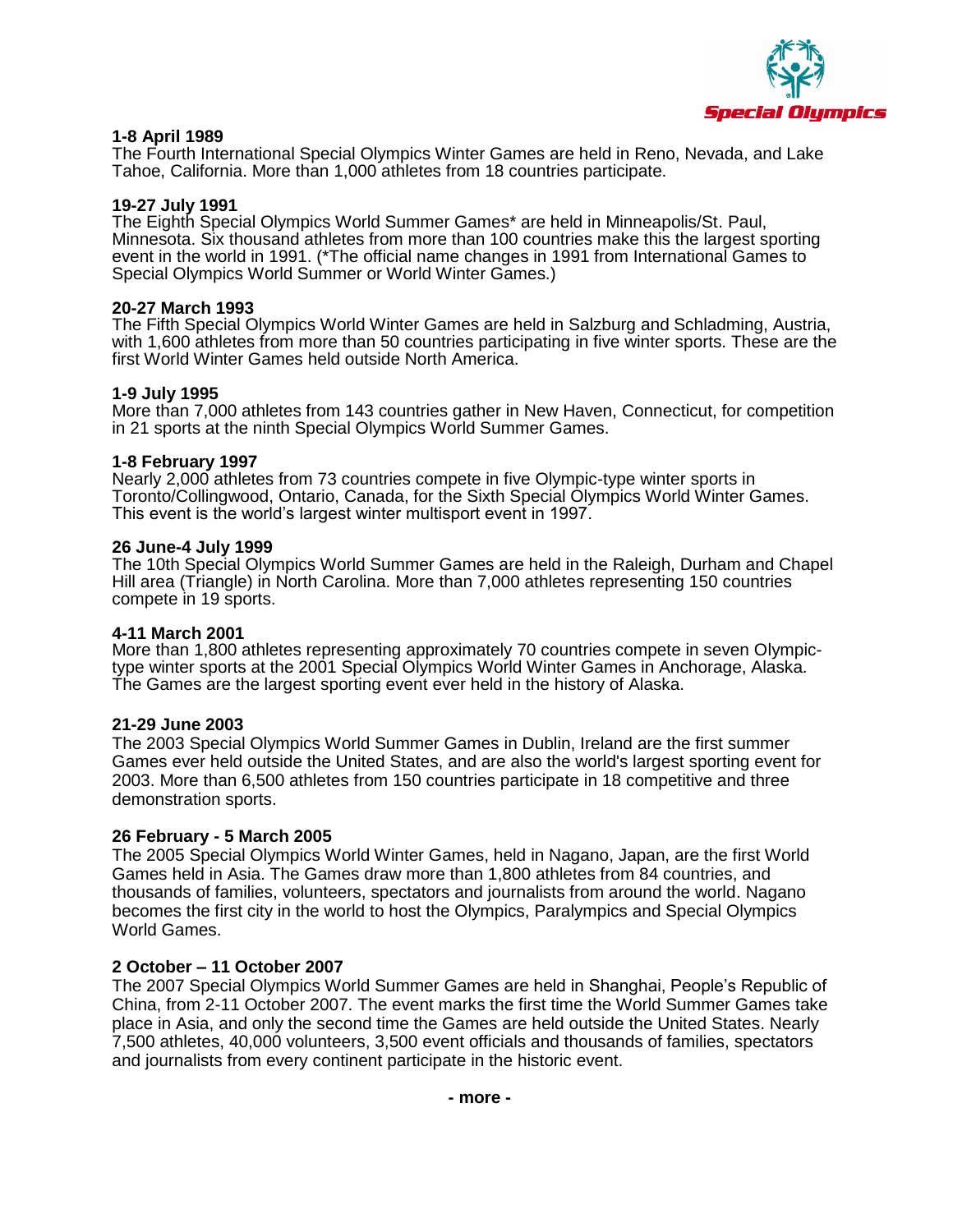

# **1-8 April 1989**

The Fourth International Special Olympics Winter Games are held in Reno, Nevada, and Lake Tahoe, California. More than 1,000 athletes from 18 countries participate.

## **19-27 July 1991**

The Eighth Special Olympics World Summer Games\* are held in Minneapolis/St. Paul, Minnesota. Six thousand athletes from more than 100 countries make this the largest sporting event in the world in 1991. (\*The official name changes in 1991 from International Games to Special Olympics World Summer or World Winter Games.)

#### **20-27 March 1993**

The Fifth Special Olympics World Winter Games are held in Salzburg and Schladming, Austria, with 1,600 athletes from more than 50 countries participating in five winter sports. These are the first World Winter Games held outside North America.

#### **1-9 July 1995**

More than 7,000 athletes from 143 countries gather in New Haven, Connecticut, for competition in 21 sports at the ninth Special Olympics World Summer Games.

#### **1-8 February 1997**

Nearly 2,000 athletes from 73 countries compete in five Olympic-type winter sports in Toronto/Collingwood, Ontario, Canada, for the Sixth Special Olympics World Winter Games. This event is the world's largest winter multisport event in 1997.

#### **26 June-4 July 1999**

The 10th Special Olympics World Summer Games are held in the Raleigh, Durham and Chapel Hill area (Triangle) in North Carolina. More than 7,000 athletes representing 150 countries compete in 19 sports.

## **4-11 March 2001**

More than 1,800 athletes representing approximately 70 countries compete in seven Olympictype winter sports at the 2001 Special Olympics World Winter Games in Anchorage, Alaska. The Games are the largest sporting event ever held in the history of Alaska.

## **21-29 June 2003**

The 2003 Special Olympics World Summer Games in Dublin, Ireland are the first summer Games ever held outside the United States, and are also the world's largest sporting event for 2003. More than 6,500 athletes from 150 countries participate in 18 competitive and three demonstration sports.

## **26 February - 5 March 2005**

The [2005 Special Olympics World Winter Games,](http://www.specialolympics.org/Special+Olympics+Public+Website/English/Compete/World_Games/2005+World+Winter+Games.htm) held in Nagano, Japan, are the first World Games held in Asia. The Games draw more than 1,800 athletes from 84 countries, and thousands of families, volunteers, spectators and journalists from around the world. Nagano becomes the first city in the world to host the Olympics, Paralympics and Special Olympics World Games.

## **2 October – 11 October 2007**

The 2007 Special Olympics World Summer Games are held in Shanghai, People's Republic of China, from 2-11 October 2007. The event marks the first time the World Summer Games take place in Asia, and only the second time the Games are held outside the United States. Nearly 7,500 athletes, 40,000 volunteers, 3,500 event officials and thousands of families, spectators and journalists from every continent participate in the historic event.